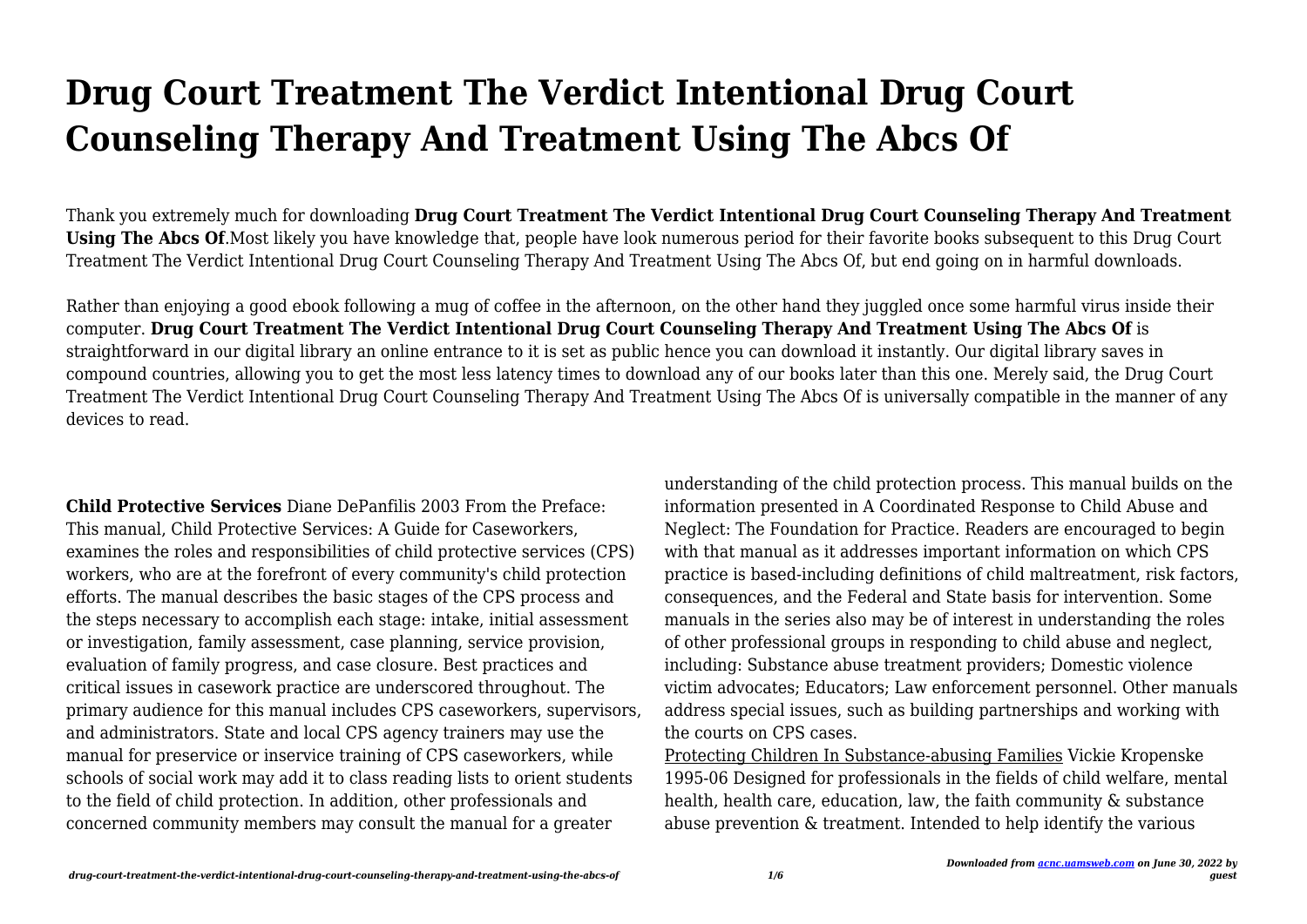# **Drug Court Treatment The Verdict Intentional Drug Court Counseling Therapy And Treatment Using The Abcs Of**

Thank you extremely much for downloading **Drug Court Treatment The Verdict Intentional Drug Court Counseling Therapy And Treatment Using The Abcs Of**.Most likely you have knowledge that, people have look numerous period for their favorite books subsequent to this Drug Court Treatment The Verdict Intentional Drug Court Counseling Therapy And Treatment Using The Abcs Of, but end going on in harmful downloads.

Rather than enjoying a good ebook following a mug of coffee in the afternoon, on the other hand they juggled once some harmful virus inside their computer. **Drug Court Treatment The Verdict Intentional Drug Court Counseling Therapy And Treatment Using The Abcs Of** is straightforward in our digital library an online entrance to it is set as public hence you can download it instantly. Our digital library saves in compound countries, allowing you to get the most less latency times to download any of our books later than this one. Merely said, the Drug Court Treatment The Verdict Intentional Drug Court Counseling Therapy And Treatment Using The Abcs Of is universally compatible in the manner of any devices to read.

**Child Protective Services** Diane DePanfilis 2003 From the Preface: This manual, Child Protective Services: A Guide for Caseworkers, examines the roles and responsibilities of child protective services (CPS) workers, who are at the forefront of every community's child protection efforts. The manual describes the basic stages of the CPS process and the steps necessary to accomplish each stage: intake, initial assessment or investigation, family assessment, case planning, service provision, evaluation of family progress, and case closure. Best practices and critical issues in casework practice are underscored throughout. The primary audience for this manual includes CPS caseworkers, supervisors, and administrators. State and local CPS agency trainers may use the manual for preservice or inservice training of CPS caseworkers, while schools of social work may add it to class reading lists to orient students to the field of child protection. In addition, other professionals and concerned community members may consult the manual for a greater

understanding of the child protection process. This manual builds on the information presented in A Coordinated Response to Child Abuse and Neglect: The Foundation for Practice. Readers are encouraged to begin with that manual as it addresses important information on which CPS practice is based-including definitions of child maltreatment, risk factors, consequences, and the Federal and State basis for intervention. Some manuals in the series also may be of interest in understanding the roles of other professional groups in responding to child abuse and neglect, including: Substance abuse treatment providers; Domestic violence victim advocates; Educators; Law enforcement personnel. Other manuals address special issues, such as building partnerships and working with the courts on CPS cases.

Protecting Children In Substance-abusing Families Vickie Kropenske 1995-06 Designed for professionals in the fields of child welfare, mental health, health care, education, law, the faith community & substance abuse prevention & treatment. Intended to help identify the various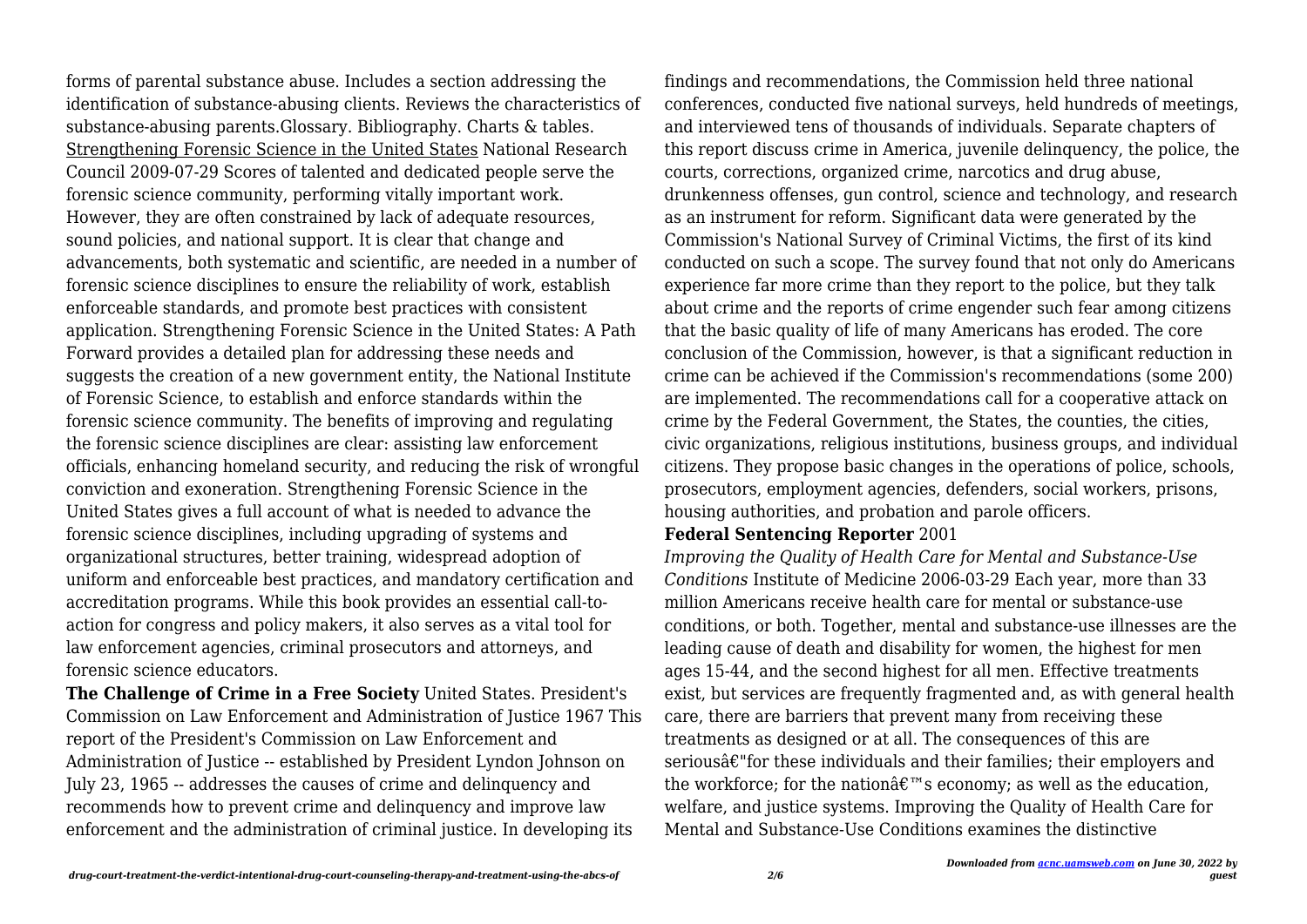forms of parental substance abuse. Includes a section addressing the identification of substance-abusing clients. Reviews the characteristics of substance-abusing parents.Glossary. Bibliography. Charts & tables. Strengthening Forensic Science in the United States National Research Council 2009-07-29 Scores of talented and dedicated people serve the forensic science community, performing vitally important work. However, they are often constrained by lack of adequate resources, sound policies, and national support. It is clear that change and advancements, both systematic and scientific, are needed in a number of forensic science disciplines to ensure the reliability of work, establish enforceable standards, and promote best practices with consistent application. Strengthening Forensic Science in the United States: A Path Forward provides a detailed plan for addressing these needs and suggests the creation of a new government entity, the National Institute of Forensic Science, to establish and enforce standards within the forensic science community. The benefits of improving and regulating the forensic science disciplines are clear: assisting law enforcement officials, enhancing homeland security, and reducing the risk of wrongful conviction and exoneration. Strengthening Forensic Science in the United States gives a full account of what is needed to advance the forensic science disciplines, including upgrading of systems and organizational structures, better training, widespread adoption of uniform and enforceable best practices, and mandatory certification and accreditation programs. While this book provides an essential call-toaction for congress and policy makers, it also serves as a vital tool for law enforcement agencies, criminal prosecutors and attorneys, and forensic science educators.

**The Challenge of Crime in a Free Society** United States. President's Commission on Law Enforcement and Administration of Justice 1967 This report of the President's Commission on Law Enforcement and Administration of Justice -- established by President Lyndon Johnson on July 23, 1965 -- addresses the causes of crime and delinquency and recommends how to prevent crime and delinquency and improve law enforcement and the administration of criminal justice. In developing its

findings and recommendations, the Commission held three national conferences, conducted five national surveys, held hundreds of meetings, and interviewed tens of thousands of individuals. Separate chapters of this report discuss crime in America, juvenile delinquency, the police, the courts, corrections, organized crime, narcotics and drug abuse, drunkenness offenses, gun control, science and technology, and research as an instrument for reform. Significant data were generated by the Commission's National Survey of Criminal Victims, the first of its kind conducted on such a scope. The survey found that not only do Americans experience far more crime than they report to the police, but they talk about crime and the reports of crime engender such fear among citizens that the basic quality of life of many Americans has eroded. The core conclusion of the Commission, however, is that a significant reduction in crime can be achieved if the Commission's recommendations (some 200) are implemented. The recommendations call for a cooperative attack on crime by the Federal Government, the States, the counties, the cities, civic organizations, religious institutions, business groups, and individual citizens. They propose basic changes in the operations of police, schools, prosecutors, employment agencies, defenders, social workers, prisons, housing authorities, and probation and parole officers.

#### **Federal Sentencing Reporter** 2001

*Improving the Quality of Health Care for Mental and Substance-Use Conditions* Institute of Medicine 2006-03-29 Each year, more than 33 million Americans receive health care for mental or substance-use conditions, or both. Together, mental and substance-use illnesses are the leading cause of death and disability for women, the highest for men ages 15-44, and the second highest for all men. Effective treatments exist, but services are frequently fragmented and, as with general health care, there are barriers that prevent many from receiving these treatments as designed or at all. The consequences of this are seriousâ€"for these individuals and their families; their employers and the workforce; for the nation $\hat{\mathbf{a}} \in \mathbb{R}^m$ s economy; as well as the education, welfare, and justice systems. Improving the Quality of Health Care for Mental and Substance-Use Conditions examines the distinctive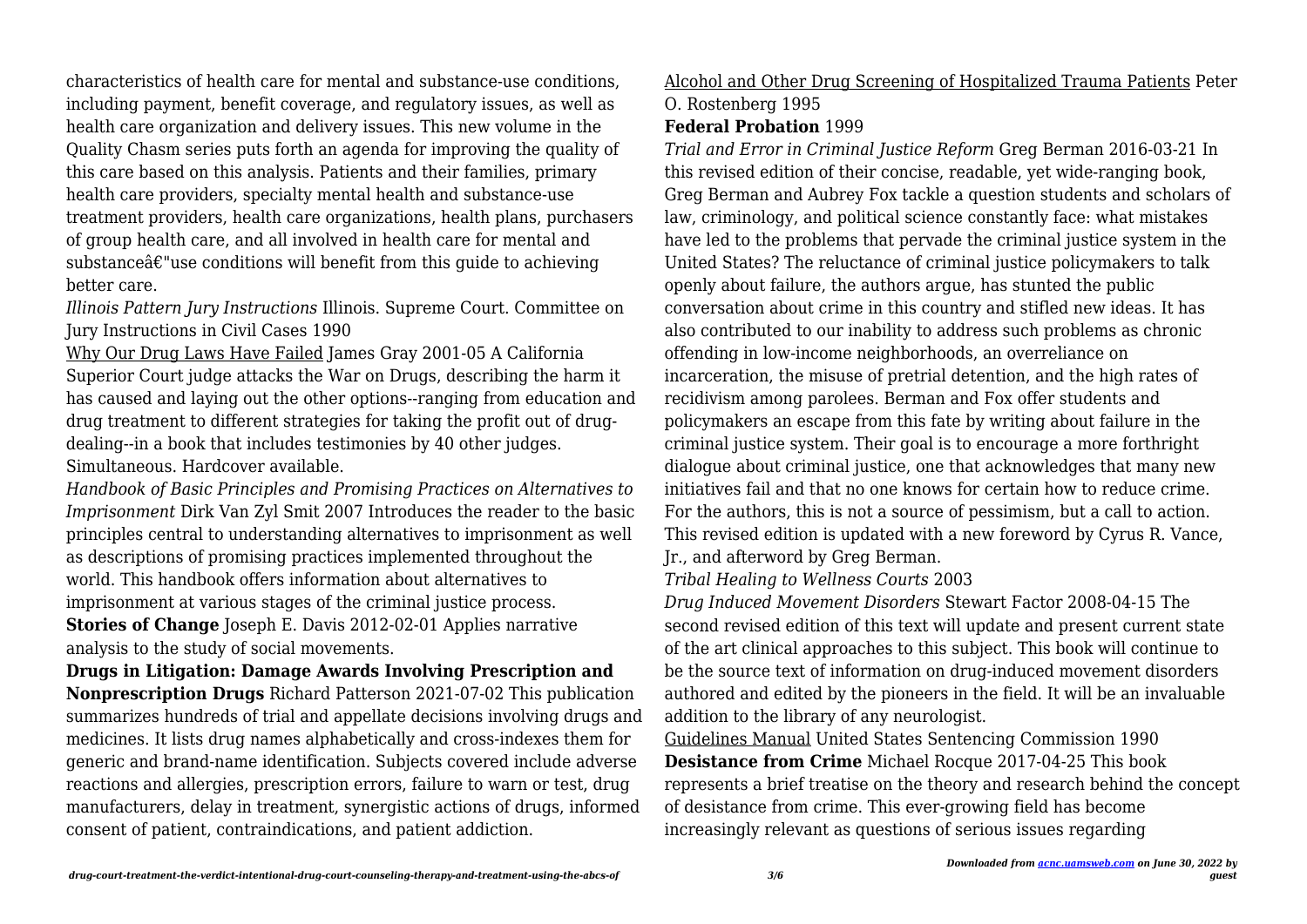characteristics of health care for mental and substance-use conditions, including payment, benefit coverage, and regulatory issues, as well as health care organization and delivery issues. This new volume in the Quality Chasm series puts forth an agenda for improving the quality of this care based on this analysis. Patients and their families, primary health care providers, specialty mental health and substance-use treatment providers, health care organizations, health plans, purchasers of group health care, and all involved in health care for mental and substanceâ€"use conditions will benefit from this quide to achieving better care.

*Illinois Pattern Jury Instructions* Illinois. Supreme Court. Committee on Jury Instructions in Civil Cases 1990

Why Our Drug Laws Have Failed James Gray 2001-05 A California Superior Court judge attacks the War on Drugs, describing the harm it has caused and laying out the other options--ranging from education and drug treatment to different strategies for taking the profit out of drugdealing--in a book that includes testimonies by 40 other judges. Simultaneous. Hardcover available.

*Handbook of Basic Principles and Promising Practices on Alternatives to Imprisonment* Dirk Van Zyl Smit 2007 Introduces the reader to the basic principles central to understanding alternatives to imprisonment as well as descriptions of promising practices implemented throughout the world. This handbook offers information about alternatives to imprisonment at various stages of the criminal justice process.

**Stories of Change** Joseph E. Davis 2012-02-01 Applies narrative analysis to the study of social movements.

**Drugs in Litigation: Damage Awards Involving Prescription and Nonprescription Drugs** Richard Patterson 2021-07-02 This publication summarizes hundreds of trial and appellate decisions involving drugs and medicines. It lists drug names alphabetically and cross-indexes them for generic and brand-name identification. Subjects covered include adverse reactions and allergies, prescription errors, failure to warn or test, drug manufacturers, delay in treatment, synergistic actions of drugs, informed consent of patient, contraindications, and patient addiction.

## Alcohol and Other Drug Screening of Hospitalized Trauma Patients Peter O. Rostenberg 1995

#### **Federal Probation** 1999

*Trial and Error in Criminal Justice Reform* Greg Berman 2016-03-21 In this revised edition of their concise, readable, yet wide-ranging book, Greg Berman and Aubrey Fox tackle a question students and scholars of law, criminology, and political science constantly face: what mistakes have led to the problems that pervade the criminal justice system in the United States? The reluctance of criminal justice policymakers to talk openly about failure, the authors argue, has stunted the public conversation about crime in this country and stifled new ideas. It has also contributed to our inability to address such problems as chronic offending in low-income neighborhoods, an overreliance on incarceration, the misuse of pretrial detention, and the high rates of recidivism among parolees. Berman and Fox offer students and policymakers an escape from this fate by writing about failure in the criminal justice system. Their goal is to encourage a more forthright dialogue about criminal justice, one that acknowledges that many new initiatives fail and that no one knows for certain how to reduce crime. For the authors, this is not a source of pessimism, but a call to action. This revised edition is updated with a new foreword by Cyrus R. Vance, Jr., and afterword by Greg Berman.

*Tribal Healing to Wellness Courts* 2003

*Drug Induced Movement Disorders* Stewart Factor 2008-04-15 The second revised edition of this text will update and present current state of the art clinical approaches to this subject. This book will continue to be the source text of information on drug-induced movement disorders authored and edited by the pioneers in the field. It will be an invaluable addition to the library of any neurologist.

Guidelines Manual United States Sentencing Commission 1990 **Desistance from Crime** Michael Rocque 2017-04-25 This book represents a brief treatise on the theory and research behind the concept of desistance from crime. This ever-growing field has become increasingly relevant as questions of serious issues regarding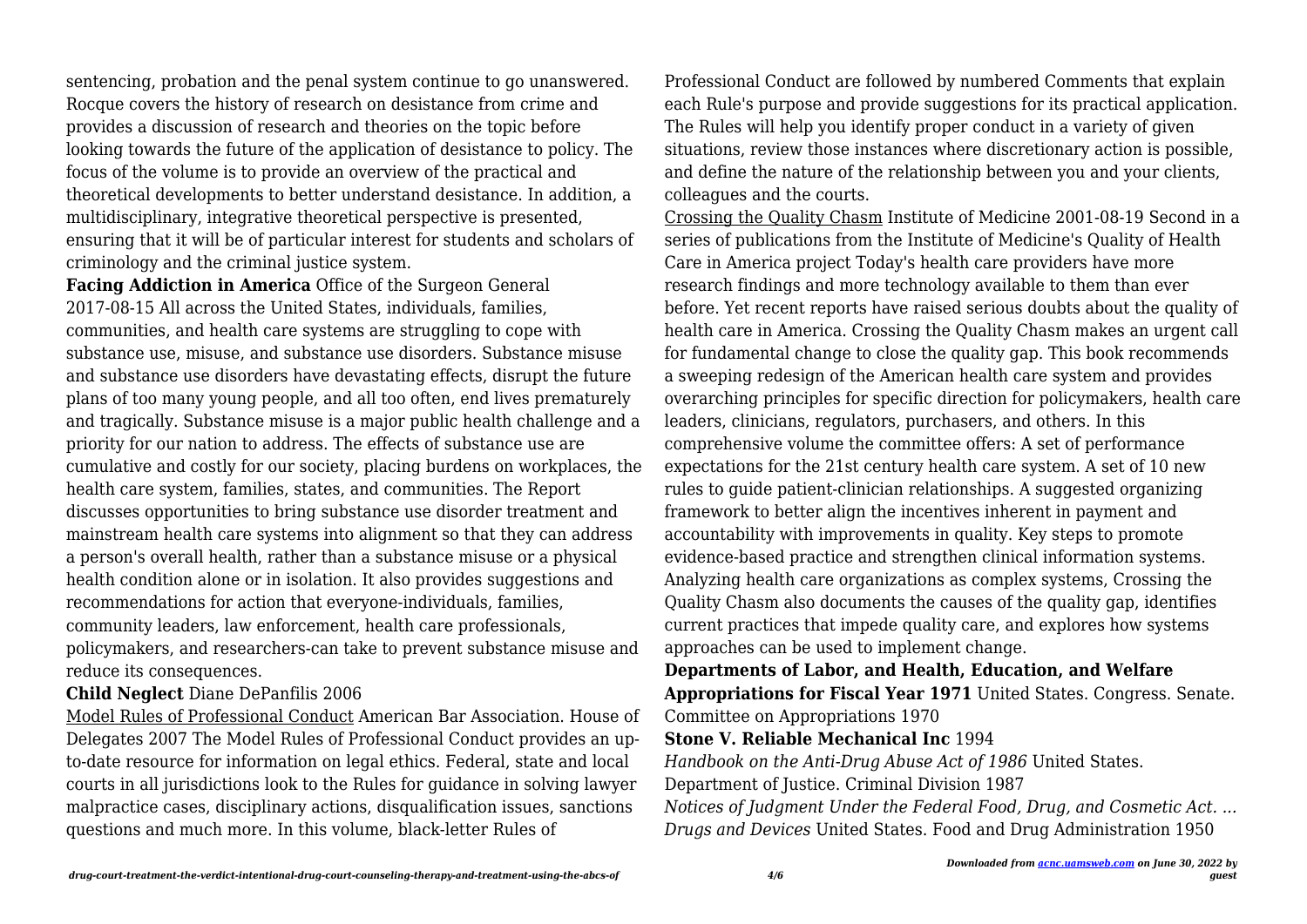sentencing, probation and the penal system continue to go unanswered. Rocque covers the history of research on desistance from crime and provides a discussion of research and theories on the topic before looking towards the future of the application of desistance to policy. The focus of the volume is to provide an overview of the practical and theoretical developments to better understand desistance. In addition, a multidisciplinary, integrative theoretical perspective is presented, ensuring that it will be of particular interest for students and scholars of criminology and the criminal justice system.

**Facing Addiction in America** Office of the Surgeon General 2017-08-15 All across the United States, individuals, families, communities, and health care systems are struggling to cope with substance use, misuse, and substance use disorders. Substance misuse and substance use disorders have devastating effects, disrupt the future plans of too many young people, and all too often, end lives prematurely and tragically. Substance misuse is a major public health challenge and a priority for our nation to address. The effects of substance use are cumulative and costly for our society, placing burdens on workplaces, the health care system, families, states, and communities. The Report discusses opportunities to bring substance use disorder treatment and mainstream health care systems into alignment so that they can address a person's overall health, rather than a substance misuse or a physical health condition alone or in isolation. It also provides suggestions and recommendations for action that everyone-individuals, families, community leaders, law enforcement, health care professionals, policymakers, and researchers-can take to prevent substance misuse and reduce its consequences.

#### **Child Neglect** Diane DePanfilis 2006

Model Rules of Professional Conduct American Bar Association. House of Delegates 2007 The Model Rules of Professional Conduct provides an upto-date resource for information on legal ethics. Federal, state and local courts in all jurisdictions look to the Rules for guidance in solving lawyer malpractice cases, disciplinary actions, disqualification issues, sanctions questions and much more. In this volume, black-letter Rules of

Professional Conduct are followed by numbered Comments that explain each Rule's purpose and provide suggestions for its practical application. The Rules will help you identify proper conduct in a variety of given situations, review those instances where discretionary action is possible, and define the nature of the relationship between you and your clients, colleagues and the courts.

Crossing the Quality Chasm Institute of Medicine 2001-08-19 Second in a series of publications from the Institute of Medicine's Quality of Health Care in America project Today's health care providers have more research findings and more technology available to them than ever before. Yet recent reports have raised serious doubts about the quality of health care in America. Crossing the Quality Chasm makes an urgent call for fundamental change to close the quality gap. This book recommends a sweeping redesign of the American health care system and provides overarching principles for specific direction for policymakers, health care leaders, clinicians, regulators, purchasers, and others. In this comprehensive volume the committee offers: A set of performance expectations for the 21st century health care system. A set of 10 new rules to guide patient-clinician relationships. A suggested organizing framework to better align the incentives inherent in payment and accountability with improvements in quality. Key steps to promote evidence-based practice and strengthen clinical information systems. Analyzing health care organizations as complex systems, Crossing the Quality Chasm also documents the causes of the quality gap, identifies current practices that impede quality care, and explores how systems approaches can be used to implement change.

**Departments of Labor, and Health, Education, and Welfare Appropriations for Fiscal Year 1971** United States. Congress. Senate. Committee on Appropriations 1970

**Stone V. Reliable Mechanical Inc** 1994

*Handbook on the Anti-Drug Abuse Act of 1986* United States.

Department of Justice. Criminal Division 1987

*Notices of Judgment Under the Federal Food, Drug, and Cosmetic Act. ... Drugs and Devices* United States. Food and Drug Administration 1950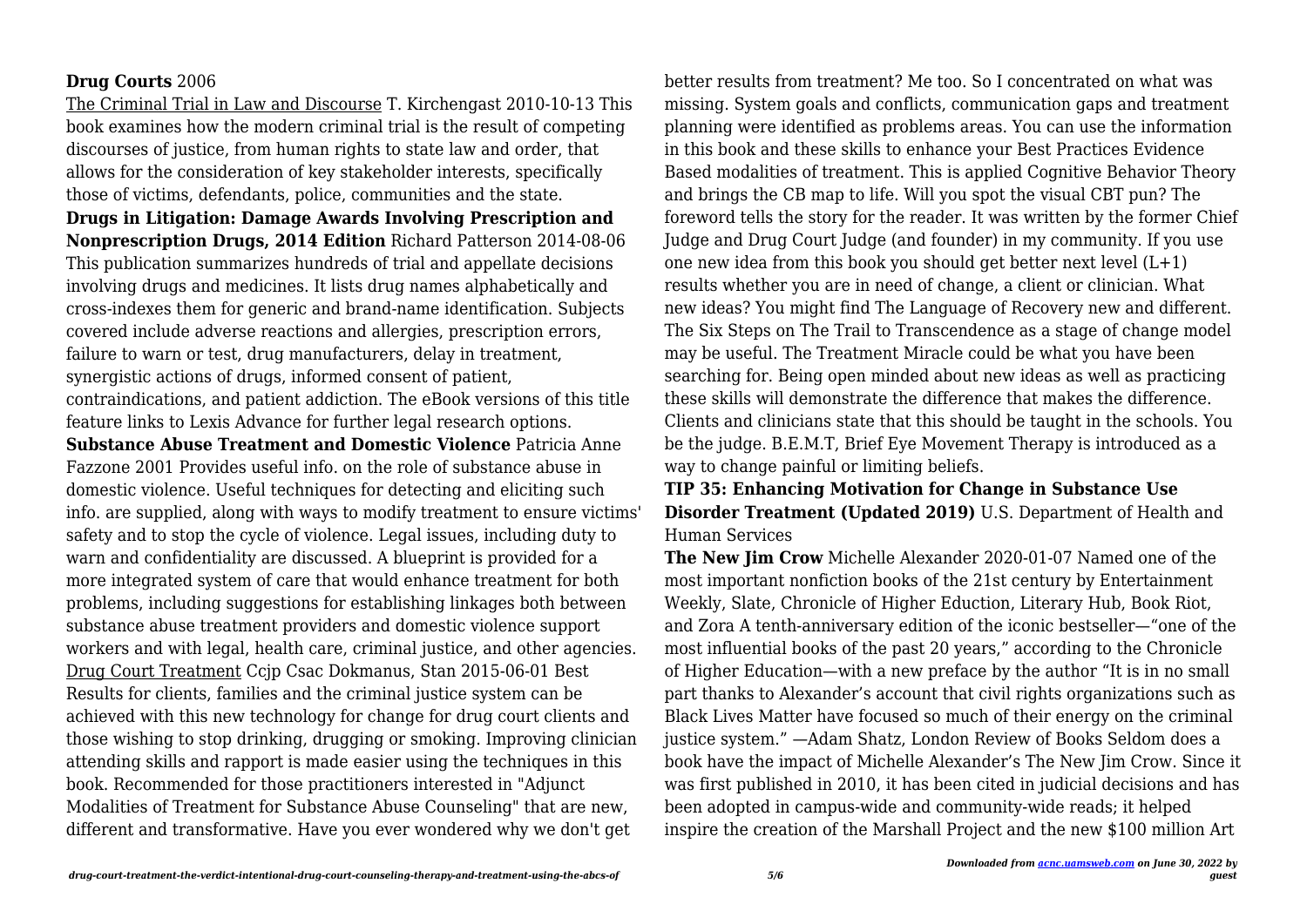#### **Drug Courts** 2006

The Criminal Trial in Law and Discourse T. Kirchengast 2010-10-13 This book examines how the modern criminal trial is the result of competing discourses of justice, from human rights to state law and order, that allows for the consideration of key stakeholder interests, specifically those of victims, defendants, police, communities and the state. **Drugs in Litigation: Damage Awards Involving Prescription and Nonprescription Drugs, 2014 Edition** Richard Patterson 2014-08-06 This publication summarizes hundreds of trial and appellate decisions involving drugs and medicines. It lists drug names alphabetically and cross-indexes them for generic and brand-name identification. Subjects covered include adverse reactions and allergies, prescription errors, failure to warn or test, drug manufacturers, delay in treatment, synergistic actions of drugs, informed consent of patient, contraindications, and patient addiction. The eBook versions of this title feature links to Lexis Advance for further legal research options. **Substance Abuse Treatment and Domestic Violence** Patricia Anne Fazzone 2001 Provides useful info. on the role of substance abuse in domestic violence. Useful techniques for detecting and eliciting such info. are supplied, along with ways to modify treatment to ensure victims' safety and to stop the cycle of violence. Legal issues, including duty to warn and confidentiality are discussed. A blueprint is provided for a more integrated system of care that would enhance treatment for both problems, including suggestions for establishing linkages both between substance abuse treatment providers and domestic violence support workers and with legal, health care, criminal justice, and other agencies. Drug Court Treatment Ccjp Csac Dokmanus, Stan 2015-06-01 Best Results for clients, families and the criminal justice system can be achieved with this new technology for change for drug court clients and those wishing to stop drinking, drugging or smoking. Improving clinician attending skills and rapport is made easier using the techniques in this book. Recommended for those practitioners interested in "Adjunct Modalities of Treatment for Substance Abuse Counseling" that are new, different and transformative. Have you ever wondered why we don't get

better results from treatment? Me too. So I concentrated on what was missing. System goals and conflicts, communication gaps and treatment planning were identified as problems areas. You can use the information in this book and these skills to enhance your Best Practices Evidence Based modalities of treatment. This is applied Cognitive Behavior Theory and brings the CB map to life. Will you spot the visual CBT pun? The foreword tells the story for the reader. It was written by the former Chief Judge and Drug Court Judge (and founder) in my community. If you use one new idea from this book you should get better next level  $(L+1)$ results whether you are in need of change, a client or clinician. What new ideas? You might find The Language of Recovery new and different. The Six Steps on The Trail to Transcendence as a stage of change model may be useful. The Treatment Miracle could be what you have been searching for. Being open minded about new ideas as well as practicing these skills will demonstrate the difference that makes the difference. Clients and clinicians state that this should be taught in the schools. You be the judge. B.E.M.T, Brief Eye Movement Therapy is introduced as a way to change painful or limiting beliefs.

### **TIP 35: Enhancing Motivation for Change in Substance Use Disorder Treatment (Updated 2019)** U.S. Department of Health and Human Services

**The New Jim Crow** Michelle Alexander 2020-01-07 Named one of the most important nonfiction books of the 21st century by Entertainment Weekly, Slate, Chronicle of Higher Eduction, Literary Hub, Book Riot, and Zora A tenth-anniversary edition of the iconic bestseller—"one of the most influential books of the past 20 years," according to the Chronicle of Higher Education—with a new preface by the author "It is in no small part thanks to Alexander's account that civil rights organizations such as Black Lives Matter have focused so much of their energy on the criminal justice system." —Adam Shatz, London Review of Books Seldom does a book have the impact of Michelle Alexander's The New Jim Crow. Since it was first published in 2010, it has been cited in judicial decisions and has been adopted in campus-wide and community-wide reads; it helped inspire the creation of the Marshall Project and the new \$100 million Art